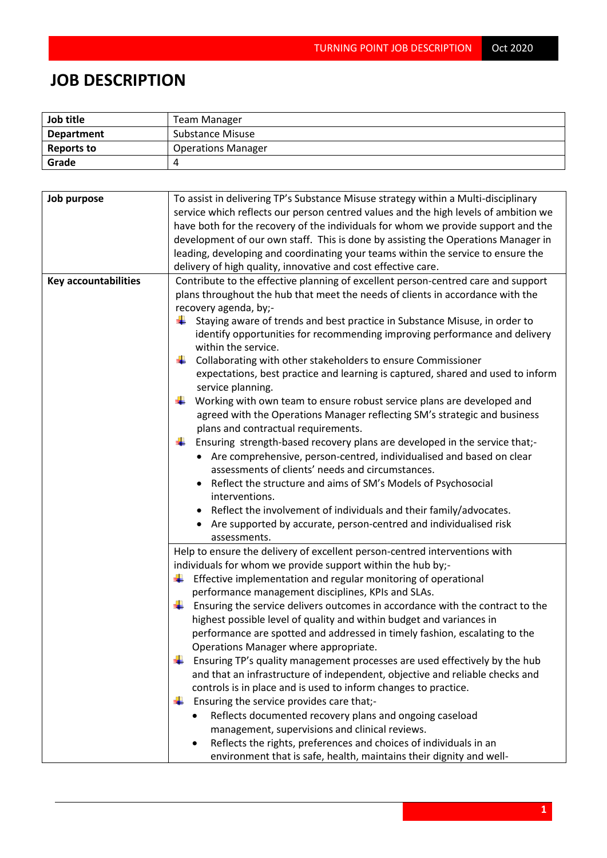## **JOB DESCRIPTION**

| Job title         | Team Manager              |  |  |
|-------------------|---------------------------|--|--|
| <b>Department</b> | Substance Misuse          |  |  |
| Reports to        | <b>Operations Manager</b> |  |  |
| Grade             |                           |  |  |

| Job purpose                 | To assist in delivering TP's Substance Misuse strategy within a Multi-disciplinary<br>service which reflects our person centred values and the high levels of ambition we<br>have both for the recovery of the individuals for whom we provide support and the<br>development of our own staff. This is done by assisting the Operations Manager in<br>leading, developing and coordinating your teams within the service to ensure the<br>delivery of high quality, innovative and cost effective care.                                                                                                                                                                                                                                                                                                                                                                                                                                                                                                                                                                                                                                                                                                              |
|-----------------------------|-----------------------------------------------------------------------------------------------------------------------------------------------------------------------------------------------------------------------------------------------------------------------------------------------------------------------------------------------------------------------------------------------------------------------------------------------------------------------------------------------------------------------------------------------------------------------------------------------------------------------------------------------------------------------------------------------------------------------------------------------------------------------------------------------------------------------------------------------------------------------------------------------------------------------------------------------------------------------------------------------------------------------------------------------------------------------------------------------------------------------------------------------------------------------------------------------------------------------|
| <b>Key accountabilities</b> | Contribute to the effective planning of excellent person-centred care and support<br>plans throughout the hub that meet the needs of clients in accordance with the<br>recovery agenda, by;-<br>Staying aware of trends and best practice in Substance Misuse, in order to<br>۰.<br>identify opportunities for recommending improving performance and delivery<br>within the service.<br>Collaborating with other stakeholders to ensure Commissioner<br>expectations, best practice and learning is captured, shared and used to inform<br>service planning.<br>Working with own team to ensure robust service plans are developed and<br>agreed with the Operations Manager reflecting SM's strategic and business<br>plans and contractual requirements.<br>Ensuring strength-based recovery plans are developed in the service that;-<br>• Are comprehensive, person-centred, individualised and based on clear<br>assessments of clients' needs and circumstances.<br>Reflect the structure and aims of SM's Models of Psychosocial<br>interventions.<br>Reflect the involvement of individuals and their family/advocates.<br>Are supported by accurate, person-centred and individualised risk<br>assessments. |
|                             | Help to ensure the delivery of excellent person-centred interventions with<br>individuals for whom we provide support within the hub by;-<br>$\ddot{\phantom{1}}$ Effective implementation and regular monitoring of operational<br>performance management disciplines, KPIs and SLAs.<br>Ensuring the service delivers outcomes in accordance with the contract to the<br>₩.<br>highest possible level of quality and within budget and variances in<br>performance are spotted and addressed in timely fashion, escalating to the<br>Operations Manager where appropriate.<br>Ensuring TP's quality management processes are used effectively by the hub<br>and that an infrastructure of independent, objective and reliable checks and<br>controls is in place and is used to inform changes to practice.<br>Ensuring the service provides care that;-<br>÷<br>Reflects documented recovery plans and ongoing caseload<br>management, supervisions and clinical reviews.<br>Reflects the rights, preferences and choices of individuals in an<br>environment that is safe, health, maintains their dignity and well-                                                                                              |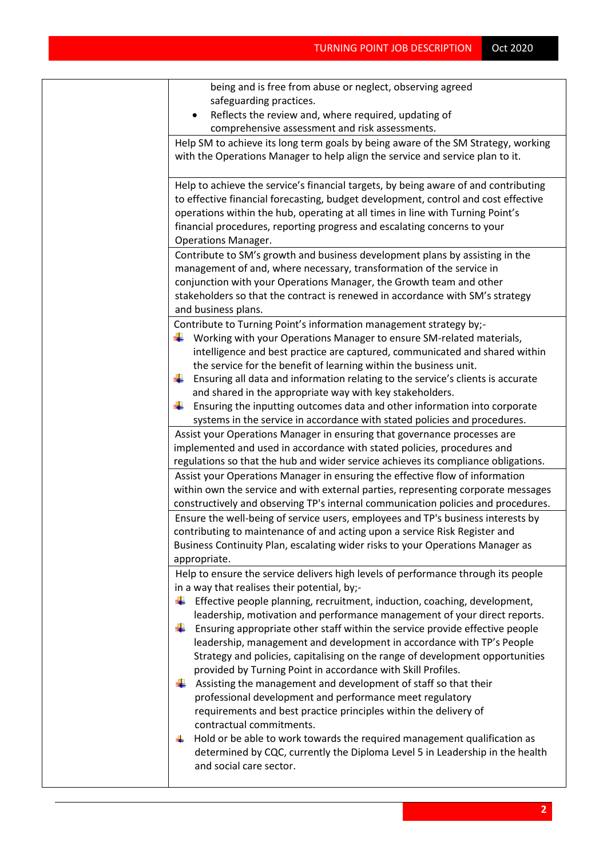| being and is free from abuse or neglect, observing agreed                                                                                                                                                                                                                                                                                                                                                                                     |
|-----------------------------------------------------------------------------------------------------------------------------------------------------------------------------------------------------------------------------------------------------------------------------------------------------------------------------------------------------------------------------------------------------------------------------------------------|
| safeguarding practices.                                                                                                                                                                                                                                                                                                                                                                                                                       |
| Reflects the review and, where required, updating of                                                                                                                                                                                                                                                                                                                                                                                          |
| comprehensive assessment and risk assessments.                                                                                                                                                                                                                                                                                                                                                                                                |
| Help SM to achieve its long term goals by being aware of the SM Strategy, working<br>with the Operations Manager to help align the service and service plan to it.                                                                                                                                                                                                                                                                            |
| Help to achieve the service's financial targets, by being aware of and contributing<br>to effective financial forecasting, budget development, control and cost effective<br>operations within the hub, operating at all times in line with Turning Point's<br>financial procedures, reporting progress and escalating concerns to your<br><b>Operations Manager.</b>                                                                         |
| Contribute to SM's growth and business development plans by assisting in the                                                                                                                                                                                                                                                                                                                                                                  |
| management of and, where necessary, transformation of the service in                                                                                                                                                                                                                                                                                                                                                                          |
| conjunction with your Operations Manager, the Growth team and other                                                                                                                                                                                                                                                                                                                                                                           |
| stakeholders so that the contract is renewed in accordance with SM's strategy                                                                                                                                                                                                                                                                                                                                                                 |
| and business plans.                                                                                                                                                                                                                                                                                                                                                                                                                           |
| Contribute to Turning Point's information management strategy by;-<br>Working with your Operations Manager to ensure SM-related materials,<br>intelligence and best practice are captured, communicated and shared within<br>the service for the benefit of learning within the business unit.<br>Ensuring all data and information relating to the service's clients is accurate<br>and shared in the appropriate way with key stakeholders. |
| Ensuring the inputting outcomes data and other information into corporate                                                                                                                                                                                                                                                                                                                                                                     |
| systems in the service in accordance with stated policies and procedures.                                                                                                                                                                                                                                                                                                                                                                     |
| Assist your Operations Manager in ensuring that governance processes are<br>implemented and used in accordance with stated policies, procedures and                                                                                                                                                                                                                                                                                           |
| regulations so that the hub and wider service achieves its compliance obligations.                                                                                                                                                                                                                                                                                                                                                            |
| Assist your Operations Manager in ensuring the effective flow of information                                                                                                                                                                                                                                                                                                                                                                  |
| within own the service and with external parties, representing corporate messages                                                                                                                                                                                                                                                                                                                                                             |
| constructively and observing TP's internal communication policies and procedures.                                                                                                                                                                                                                                                                                                                                                             |
| Ensure the well-being of service users, employees and TP's business interests by                                                                                                                                                                                                                                                                                                                                                              |
| contributing to maintenance of and acting upon a service Risk Register and                                                                                                                                                                                                                                                                                                                                                                    |
| Business Continuity Plan, escalating wider risks to your Operations Manager as                                                                                                                                                                                                                                                                                                                                                                |
| appropriate.                                                                                                                                                                                                                                                                                                                                                                                                                                  |
| Help to ensure the service delivers high levels of performance through its people                                                                                                                                                                                                                                                                                                                                                             |
| in a way that realises their potential, by;-<br>Effective people planning, recruitment, induction, coaching, development,<br>÷                                                                                                                                                                                                                                                                                                                |
| leadership, motivation and performance management of your direct reports.<br>Ensuring appropriate other staff within the service provide effective people<br>₩<br>leadership, management and development in accordance with TP's People<br>Strategy and policies, capitalising on the range of development opportunities<br>provided by Turning Point in accordance with Skill Profiles.                                                      |
| Assisting the management and development of staff so that their<br>÷<br>professional development and performance meet regulatory<br>requirements and best practice principles within the delivery of<br>contractual commitments.<br>Hold or be able to work towards the required management qualification as                                                                                                                                  |
| determined by CQC, currently the Diploma Level 5 in Leadership in the health<br>and social care sector.                                                                                                                                                                                                                                                                                                                                       |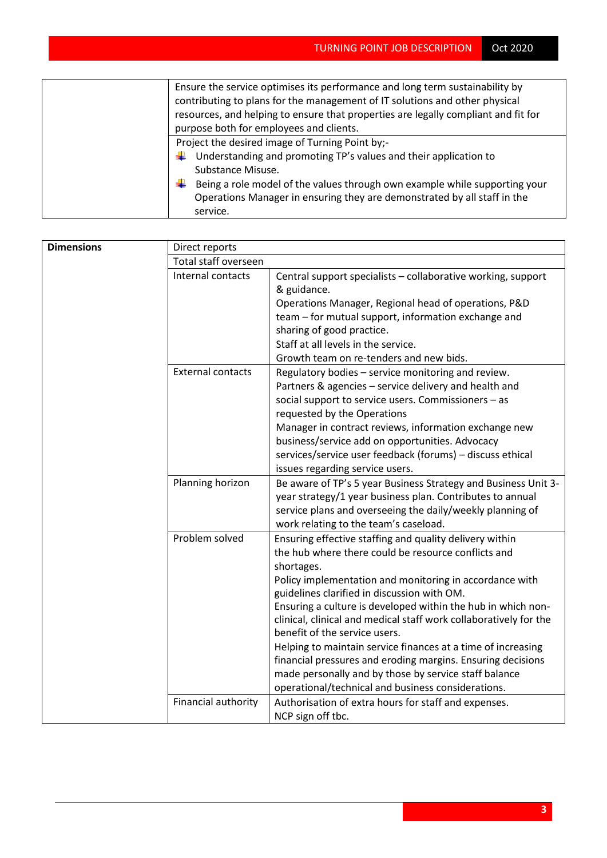| Ensure the service optimises its performance and long term sustainability by<br>contributing to plans for the management of IT solutions and other physical<br>resources, and helping to ensure that properties are legally compliant and fit for<br>purpose both for employees and clients.            |
|---------------------------------------------------------------------------------------------------------------------------------------------------------------------------------------------------------------------------------------------------------------------------------------------------------|
| Project the desired image of Turning Point by;-<br>Understanding and promoting TP's values and their application to<br>÷<br>Substance Misuse.<br>Being a role model of the values through own example while supporting your<br>Operations Manager in ensuring they are demonstrated by all staff in the |
| service.                                                                                                                                                                                                                                                                                                |

| <b>Dimensions</b> | Direct reports           |                                                                                                    |  |  |
|-------------------|--------------------------|----------------------------------------------------------------------------------------------------|--|--|
|                   | Total staff overseen     |                                                                                                    |  |  |
|                   | Internal contacts        | Central support specialists - collaborative working, support                                       |  |  |
|                   |                          | & guidance.                                                                                        |  |  |
|                   |                          | Operations Manager, Regional head of operations, P&D                                               |  |  |
|                   |                          | team – for mutual support, information exchange and                                                |  |  |
|                   |                          | sharing of good practice.                                                                          |  |  |
|                   |                          | Staff at all levels in the service.                                                                |  |  |
|                   |                          | Growth team on re-tenders and new bids.                                                            |  |  |
|                   | <b>External contacts</b> | Regulatory bodies - service monitoring and review.                                                 |  |  |
|                   |                          | Partners & agencies - service delivery and health and                                              |  |  |
|                   |                          | social support to service users. Commissioners - as                                                |  |  |
|                   |                          | requested by the Operations                                                                        |  |  |
|                   |                          | Manager in contract reviews, information exchange new                                              |  |  |
|                   |                          | business/service add on opportunities. Advocacy                                                    |  |  |
|                   |                          | services/service user feedback (forums) - discuss ethical                                          |  |  |
|                   |                          | issues regarding service users.                                                                    |  |  |
|                   | Planning horizon         | Be aware of TP's 5 year Business Strategy and Business Unit 3-                                     |  |  |
|                   |                          | year strategy/1 year business plan. Contributes to annual                                          |  |  |
|                   |                          | service plans and overseeing the daily/weekly planning of                                          |  |  |
|                   |                          | work relating to the team's caseload.                                                              |  |  |
|                   | Problem solved           | Ensuring effective staffing and quality delivery within                                            |  |  |
|                   |                          | the hub where there could be resource conflicts and                                                |  |  |
|                   |                          | shortages.                                                                                         |  |  |
|                   |                          | Policy implementation and monitoring in accordance with                                            |  |  |
|                   |                          | guidelines clarified in discussion with OM.                                                        |  |  |
|                   |                          | Ensuring a culture is developed within the hub in which non-                                       |  |  |
|                   |                          | clinical, clinical and medical staff work collaboratively for the<br>benefit of the service users. |  |  |
|                   |                          | Helping to maintain service finances at a time of increasing                                       |  |  |
|                   |                          | financial pressures and eroding margins. Ensuring decisions                                        |  |  |
|                   |                          | made personally and by those by service staff balance                                              |  |  |
|                   |                          | operational/technical and business considerations.                                                 |  |  |
|                   | Financial authority      | Authorisation of extra hours for staff and expenses.                                               |  |  |
|                   |                          | NCP sign off tbc.                                                                                  |  |  |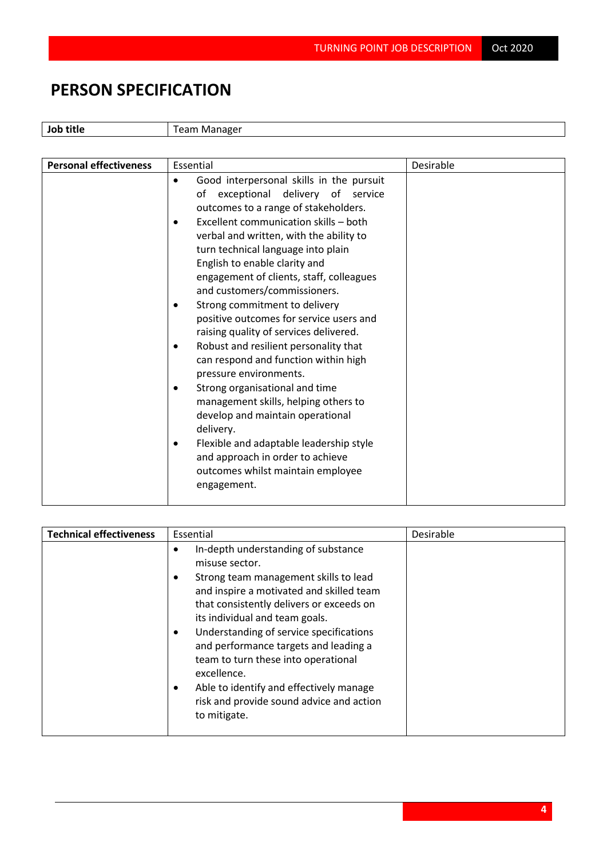## **PERSON SPECIFICATION**

**Job title** Team Manager

| <b>Personal effectiveness</b> | Essential                                                                                                                                                                                                                                                                                                                                                                                                                                                                                                                                                                                                                                                                                                                                                                                                                                                         | Desirable |
|-------------------------------|-------------------------------------------------------------------------------------------------------------------------------------------------------------------------------------------------------------------------------------------------------------------------------------------------------------------------------------------------------------------------------------------------------------------------------------------------------------------------------------------------------------------------------------------------------------------------------------------------------------------------------------------------------------------------------------------------------------------------------------------------------------------------------------------------------------------------------------------------------------------|-----------|
|                               | Good interpersonal skills in the pursuit<br>of exceptional delivery of service<br>outcomes to a range of stakeholders.<br>Excellent communication skills - both<br>verbal and written, with the ability to<br>turn technical language into plain<br>English to enable clarity and<br>engagement of clients, staff, colleagues<br>and customers/commissioners.<br>Strong commitment to delivery<br>positive outcomes for service users and<br>raising quality of services delivered.<br>Robust and resilient personality that<br>٠<br>can respond and function within high<br>pressure environments.<br>Strong organisational and time<br>management skills, helping others to<br>develop and maintain operational<br>delivery.<br>Flexible and adaptable leadership style<br>and approach in order to achieve<br>outcomes whilst maintain employee<br>engagement. |           |
|                               |                                                                                                                                                                                                                                                                                                                                                                                                                                                                                                                                                                                                                                                                                                                                                                                                                                                                   |           |

| <b>Technical effectiveness</b> | Essential                                                                                                                                                                                                                                                                                                                                                                                                                                                                 | Desirable |
|--------------------------------|---------------------------------------------------------------------------------------------------------------------------------------------------------------------------------------------------------------------------------------------------------------------------------------------------------------------------------------------------------------------------------------------------------------------------------------------------------------------------|-----------|
|                                | In-depth understanding of substance<br>misuse sector.<br>Strong team management skills to lead<br>and inspire a motivated and skilled team<br>that consistently delivers or exceeds on<br>its individual and team goals.<br>Understanding of service specifications<br>and performance targets and leading a<br>team to turn these into operational<br>excellence.<br>Able to identify and effectively manage<br>risk and provide sound advice and action<br>to mitigate. |           |